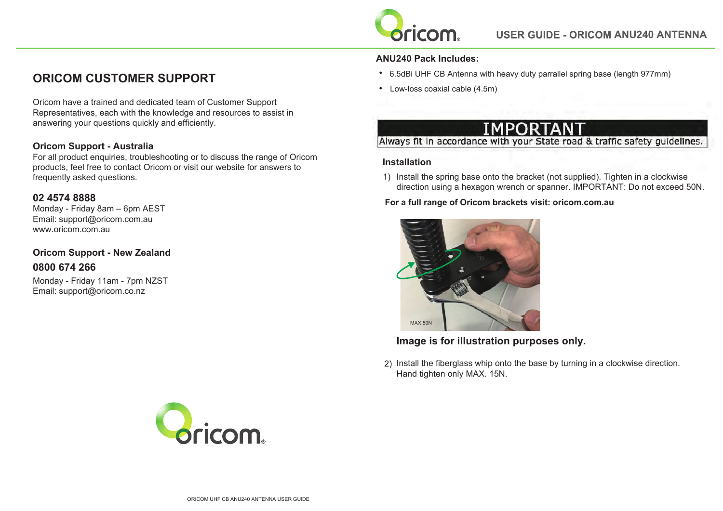

# **ORICOM CUSTOMER SUPPORT**

Oricom have a trained and dedicated team of Customer Support Representatives, each with the knowledge and resources to assist in answering your questions quickly and efficiently.

## **Oricom Support - Australia**

For all product enquiries, troubleshooting or to discuss the range of Oricom products, feel free to contact Oricom or visit our website for answers to frequently asked questions.

## **02 4574 8888**

Monday - Friday 8am – 6pm AEST Email: support@oricom.com.au www.oricom.com.au

**Oricom Support - New Zealand 0800 674 266**

Monday - Friday 11am - 7pm NZST Email: support@oricom.co.nz

## **ANU240 Pack Includes:**

- **•** 6.5dBi UHF CB Antenna with heavy duty parrallel spring base (length 977mm)
- **•** Low-loss coaxial cable (4.5m)

# Always fit in accordance with your State road & traffic safety guidelines.

### **Installation**

1) Install the spring base onto the bracket (not supplied). Tighten in a clockwise direction using a hexagon wrench or spanner. IMPORTANT: Do not exceed 50N.

**For a full range of Oricom brackets visit: oricom.com.au**



**Image is for illustration purposes only.**

) Install the fiberglass whip onto the base by turning in a clockwise direction. Hand tighten only MAX. 15N.